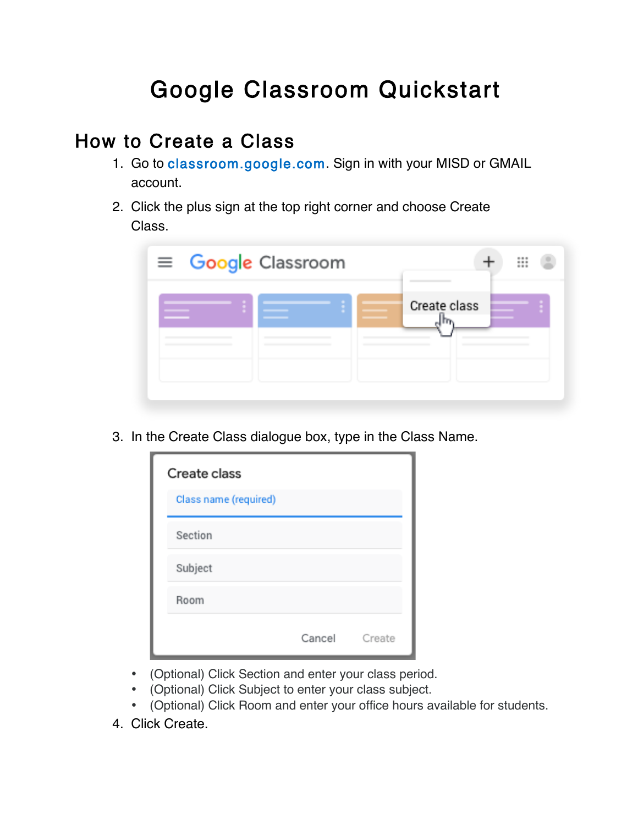# Google Classroom Quickstart

### How to Create a Class

- 1. Go to classroom.google.com. Sign in with your MISD or GMAIL account.
- 2. Click the plus sign at the top right corner and choose Create Class.

| $\equiv$ Google Classroom |  |              | ₩ |
|---------------------------|--|--------------|---|
|                           |  | Create class |   |

3. In the Create Class dialogue box, type in the Class Name.

| Create class          |               |  |
|-----------------------|---------------|--|
| Class name (required) |               |  |
| Section               |               |  |
| Subject               |               |  |
| Room                  |               |  |
|                       | Cancel Create |  |

- (Optional) Click Section and enter your class period.
- (Optional) Click Subject to enter your class subject.
- (Optional) Click Room and enter your office hours available for students.
- 4. Click Create.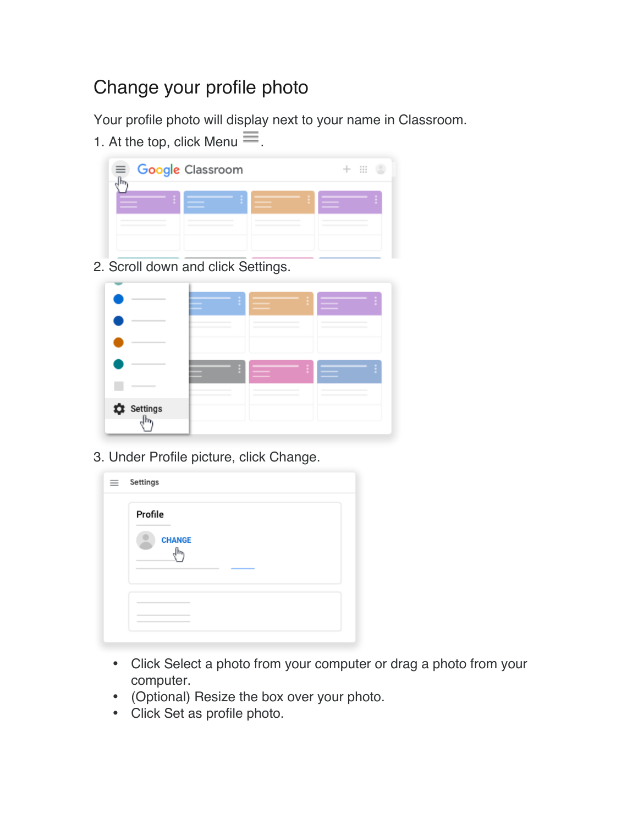## Change your profile photo

Your profile photo will display next to your name in Classroom.

1. At the top, click Menu  $\equiv$ .

| $\frac{1}{2}$ |
|---------------|
|               |
|               |

2. Scroll down and click Settings.

|                                |       | ř.     |        |
|--------------------------------|-------|--------|--------|
| -                              |       | $\sim$ | ______ |
|                                |       |        |        |
|                                |       |        |        |
|                                | _____ |        |        |
| $\sum_{n=1}^{\infty}$ Settings |       |        |        |

3. Under Profile picture, click Change.

| - | Settings      |
|---|---------------|
|   | Profile       |
|   | <b>CHANGE</b> |
|   |               |
|   |               |

- Click Select a photo from your computer or drag a photo from your computer.
- (Optional) Resize the box over your photo.
- Click Set as profile photo.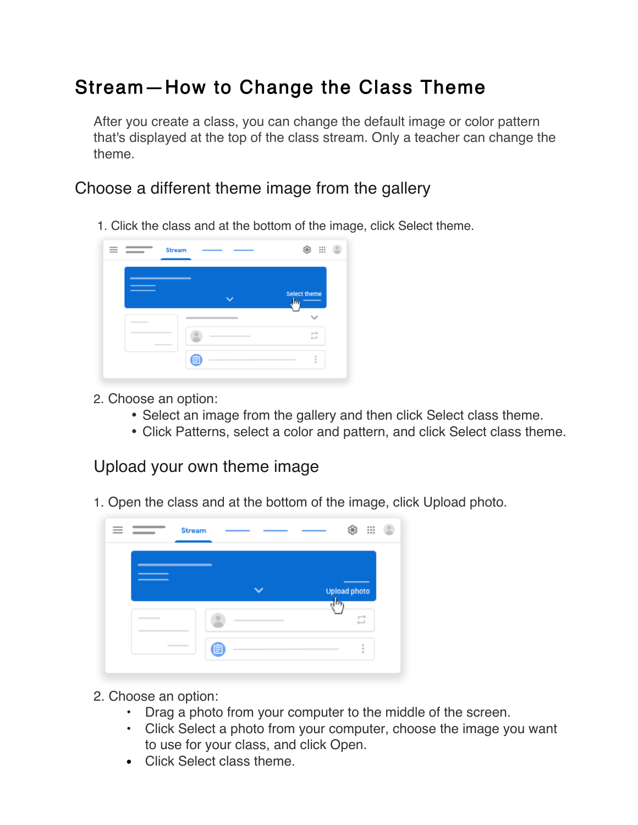# Stream—How to Change the Class Theme

After you create a class, you can change the default image or color pattern that's displayed at the top of the class stream. Only a teacher can change the theme.

#### Choose a different theme image from the gallery

1. Click the class and at the bottom of the image, click Select theme.



- 2. Choose an option:
	- Select an image from the gallery and then click Select class theme.
	- Click Patterns, select a color and pattern, and click Select class theme.

#### Upload your own theme image

1. Open the class and at the bottom of the image, click Upload photo.



- 2. Choose an option:
	- Drag a photo from your computer to the middle of the screen.
	- Click Select a photo from your computer, choose the image you want to use for your class, and click Open.
	- Click Select class theme.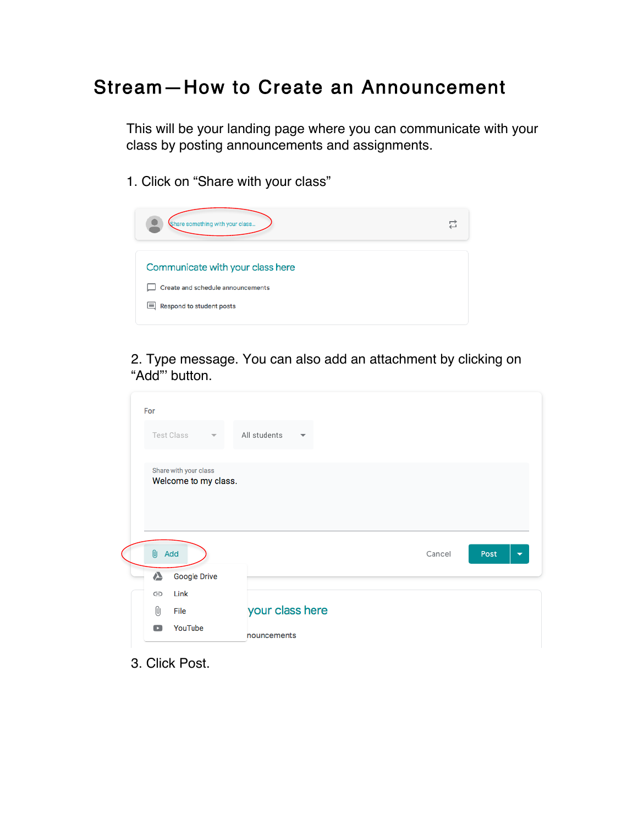### Stream—How to Create an Announcement

This will be your landing page where you can communicate with your class by posting announcements and assignments.

1. Click on "Share with your class"



2. Type message. You can also add an attachment by clicking on "Add"' button.

| For                                           |                                          |                                            |
|-----------------------------------------------|------------------------------------------|--------------------------------------------|
| <b>Test Class</b><br>$\overline{\mathbf{v}}$  | All students<br>$\overline{\phantom{a}}$ |                                            |
| Share with your class<br>Welcome to my class. |                                          |                                            |
| 0<br>Add                                      |                                          | Cancel<br>Post<br>$\overline{\phantom{a}}$ |
| ▵<br><b>Google Drive</b>                      |                                          |                                            |
| Link<br>⊝                                     |                                          |                                            |
| 0<br>File                                     | your class here                          |                                            |
| YouTube<br>$\mathbf{r}$                       | nouncements                              |                                            |

3. Click Post.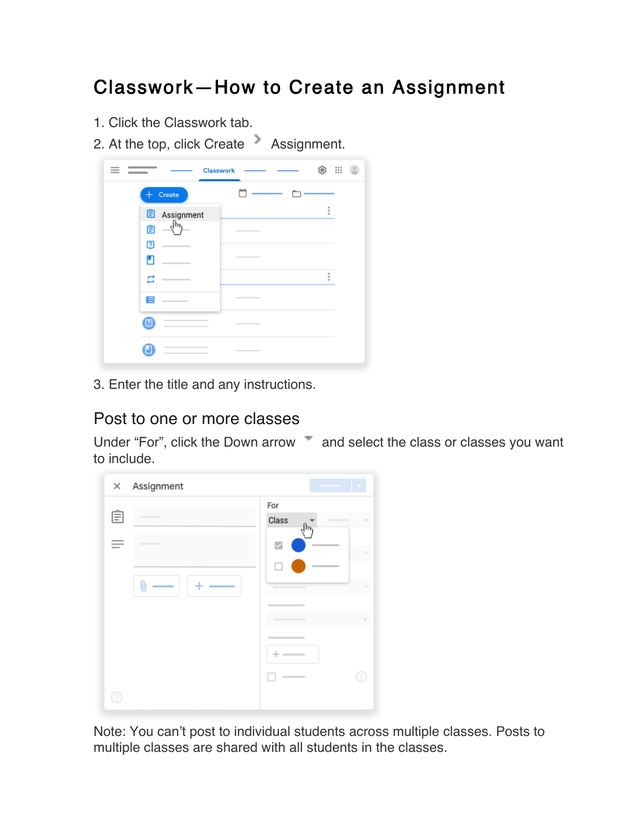## Classwork—How to Create an Assignment

- 1. Click the Classwork tab.
- 2. At the top, click Create Assignment.

| $\overline{\phantom{a}}$ | ₩<br>Classwork                                                                                                                                                                                                                                                                                                                                                                                                                                                             |
|--------------------------|----------------------------------------------------------------------------------------------------------------------------------------------------------------------------------------------------------------------------------------------------------------------------------------------------------------------------------------------------------------------------------------------------------------------------------------------------------------------------|
| Create<br>+              |                                                                                                                                                                                                                                                                                                                                                                                                                                                                            |
| 自<br>Assignment          | I                                                                                                                                                                                                                                                                                                                                                                                                                                                                          |
| վեր<br>Ê                 | $\sim$                                                                                                                                                                                                                                                                                                                                                                                                                                                                     |
| 囨                        |                                                                                                                                                                                                                                                                                                                                                                                                                                                                            |
| П                        | $\sim$                                                                                                                                                                                                                                                                                                                                                                                                                                                                     |
|                          | ŧ                                                                                                                                                                                                                                                                                                                                                                                                                                                                          |
| ⊟                        | $\sim$<br>-                                                                                                                                                                                                                                                                                                                                                                                                                                                                |
| ø                        | $\frac{1}{2} \left( \frac{1}{2} \right) \left( \frac{1}{2} \right) \left( \frac{1}{2} \right) \left( \frac{1}{2} \right) \left( \frac{1}{2} \right) \left( \frac{1}{2} \right) \left( \frac{1}{2} \right) \left( \frac{1}{2} \right) \left( \frac{1}{2} \right) \left( \frac{1}{2} \right) \left( \frac{1}{2} \right) \left( \frac{1}{2} \right) \left( \frac{1}{2} \right) \left( \frac{1}{2} \right) \left( \frac{1}{2} \right) \left( \frac{1}{2} \right) \left( \frac$ |
|                          | $\sim$<br>-                                                                                                                                                                                                                                                                                                                                                                                                                                                                |

3. Enter the title and any instructions.

#### Post to one or more classes

Under "For", click the Down arrow and select the class or classes you want to include.

| $\times$ Assignment |                                                                        |
|---------------------|------------------------------------------------------------------------|
| Ė                   | For<br>Class<br>v                                                      |
| _                   | ☑<br>v<br>$\sim$<br>۰                                                  |
| O                   | v<br><b>Contract Contract Contract Contract</b>                        |
|                     | _____<br><b>Contract Contract Contract</b><br>$\overline{\phantom{a}}$ |
|                     |                                                                        |
|                     | $\sim$                                                                 |
|                     |                                                                        |

Note: You can't post to individual students across multiple classes. Posts to multiple classes are shared with all students in the classes.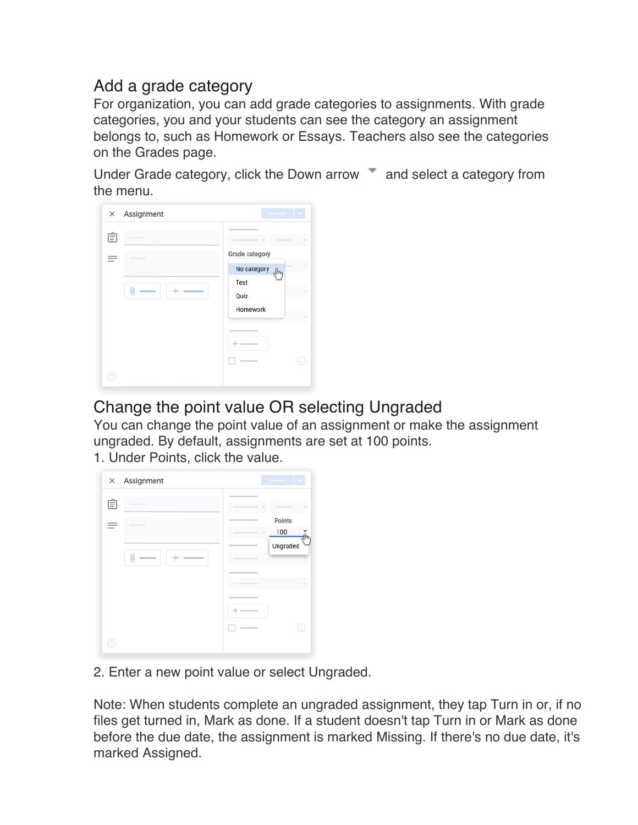### Add a grade category

For organization, you can add grade categories to assignments. With grade categories, you and your students can see the category an assignment belongs to, such as Homework or Essays. Teachers also see the categories on the Grades page.

Under Grade category, click the Down arrow  $\blacksquare$  and select a category from the menu.

| Assignment<br>× |                              |
|-----------------|------------------------------|
| Ê               | $\overline{\phantom{a}}$     |
|                 | Grade category               |
|                 | No category <sub>allow</sub> |
|                 | Test                         |
|                 | Quiz                         |
|                 | Homework                     |
|                 |                              |
|                 | -                            |
|                 |                              |
|                 |                              |
|                 |                              |

### Change the point value OR selecting Ungraded

You can change the point value of an assignment or make the assignment ungraded. By default, assignments are set at 100 points.

1. Under Points, click the value.



2. Enter a new point value or select Ungraded.

Note: When students complete an ungraded assignment, they tap Turn in or, if no files get turned in, Mark as done. If a student doesn't tap Turn in or Mark as done before the due date, the assignment is marked Missing. If there's no due date, it's marked Assigned.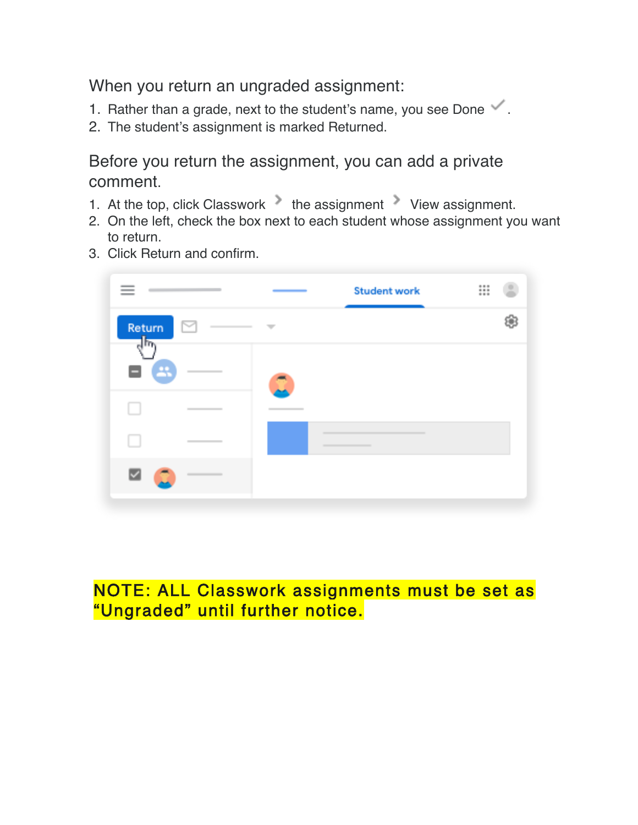When you return an ungraded assignment:

- 1. Rather than a grade, next to the student's name, you see Done  $\checkmark$ .
- 2. The student's assignment is marked Returned.

Before you return the assignment, you can add a private comment.

- 1. At the top, click Classwork the assignment View assignment.
- 2. On the left, check the box next to each student whose assignment you want to return.
- 3. Click Return and confirm.



### NOTE: ALL Classwork assignments must be set as "Ungraded" until further notice.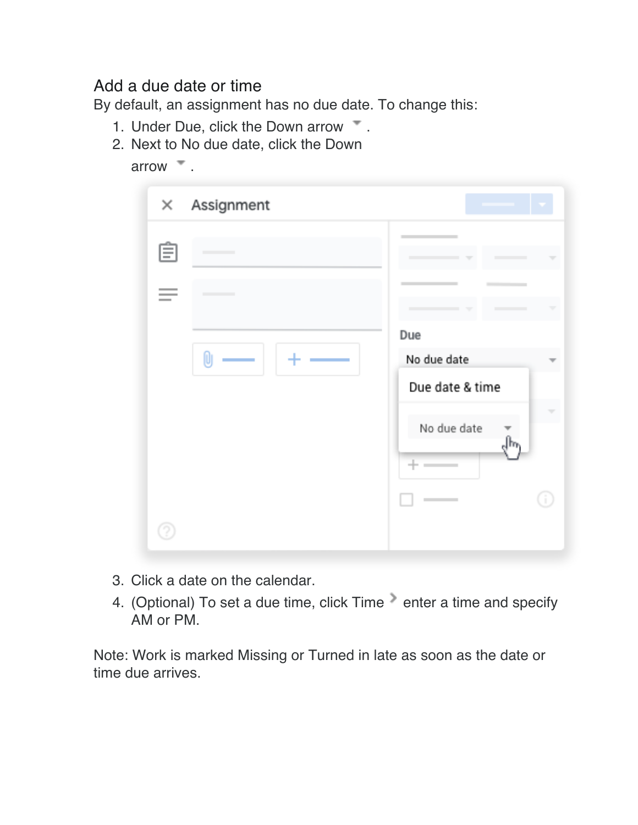#### Add a due date or time

By default, an assignment has no due date. To change this:

- 1. Under Due, click the Down arrow  $\overline{\phantom{a}}$ .
- 2. Next to No due date, click the Down

| arrow |  |
|-------|--|
|       |  |

| $\times$ | Assignment |                                                                 |
|----------|------------|-----------------------------------------------------------------|
| Ε        |            | $\overline{\phantom{a}}$                                        |
|          |            | w                                                               |
|          |            | Due<br>No due date<br>Due date & time<br>No due date<br>$+$ $-$ |
|          |            |                                                                 |

- 3. Click a date on the calendar.
- 4. (Optional) To set a due time, click Time enter a time and specify AM or PM.

Note: Work is marked Missing or Turned in late as soon as the date or time due arrives.